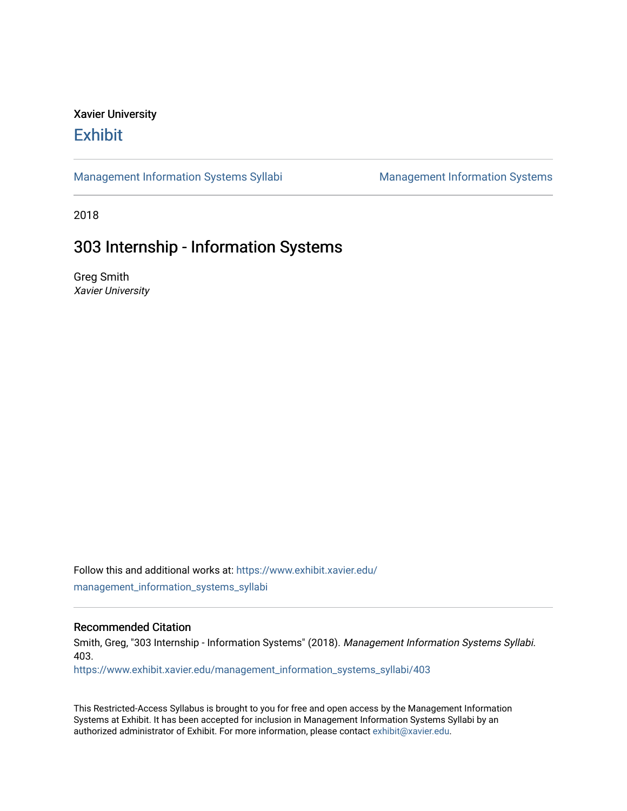## Xavier University **Exhibit**

[Management Information Systems Syllabi](https://www.exhibit.xavier.edu/management_information_systems_syllabi) Management Information Systems

2018

## 303 Internship - Information Systems

Greg Smith Xavier University

Follow this and additional works at: [https://www.exhibit.xavier.edu/](https://www.exhibit.xavier.edu/management_information_systems_syllabi?utm_source=www.exhibit.xavier.edu%2Fmanagement_information_systems_syllabi%2F403&utm_medium=PDF&utm_campaign=PDFCoverPages) [management\\_information\\_systems\\_syllabi](https://www.exhibit.xavier.edu/management_information_systems_syllabi?utm_source=www.exhibit.xavier.edu%2Fmanagement_information_systems_syllabi%2F403&utm_medium=PDF&utm_campaign=PDFCoverPages) 

#### Recommended Citation

Smith, Greg, "303 Internship - Information Systems" (2018). Management Information Systems Syllabi. 403.

[https://www.exhibit.xavier.edu/management\\_information\\_systems\\_syllabi/403](https://www.exhibit.xavier.edu/management_information_systems_syllabi/403?utm_source=www.exhibit.xavier.edu%2Fmanagement_information_systems_syllabi%2F403&utm_medium=PDF&utm_campaign=PDFCoverPages) 

This Restricted-Access Syllabus is brought to you for free and open access by the Management Information Systems at Exhibit. It has been accepted for inclusion in Management Information Systems Syllabi by an authorized administrator of Exhibit. For more information, please contact [exhibit@xavier.edu](mailto:exhibit@xavier.edu).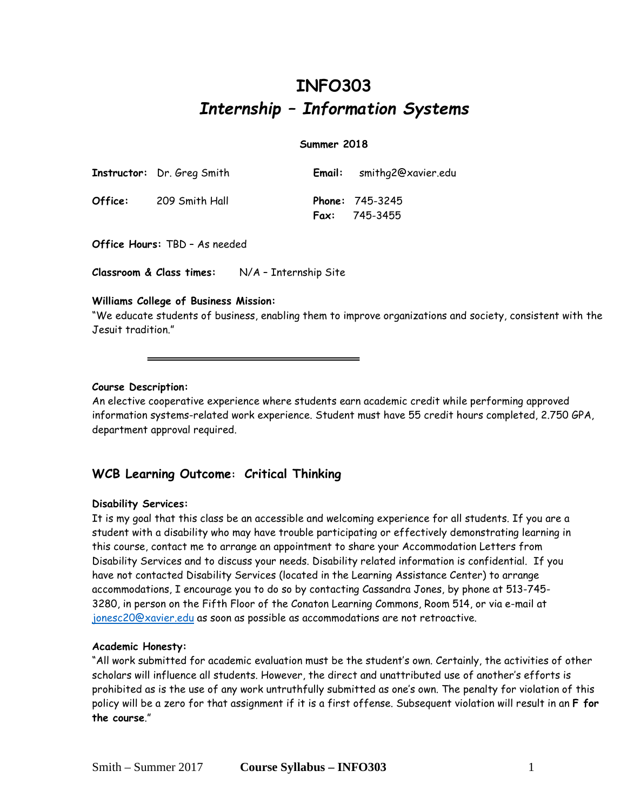# **INFO303** *Internship – Information Systems*

#### **Summer 2018**

|         | <b>Instructor:</b> Dr. Greg Smith | <b>Email:</b> smithg2@xavier.edu                   |
|---------|-----------------------------------|----------------------------------------------------|
| Office: | 209 Smith Hall                    | <b>Phone:</b> $745 - 3245$<br><b>Fax:</b> 745-3455 |

**Office Hours:** TBD – As needed

**Classroom & Class times:** N/A – Internship Site

#### **Williams College of Business Mission:**

"We educate students of business, enabling them to improve organizations and society, consistent with the Jesuit tradition."

#### **Course Description:**

An elective cooperative experience where students earn academic credit while performing approved information systems-related work experience. Student must have 55 credit hours completed, 2.750 GPA, department approval required.

### **WCB Learning Outcome: Critical Thinking**

#### **Disability Services:**

It is my goal that this class be an accessible and welcoming experience for all students. If you are a student with a disability who may have trouble participating or effectively demonstrating learning in this course, contact me to arrange an appointment to share your Accommodation Letters from Disability Services and to discuss your needs. Disability related information is confidential. If you have not contacted Disability Services (located in the Learning Assistance Center) to arrange accommodations, I encourage you to do so by contacting Cassandra Jones, by phone at 513-745- 3280, in person on the Fifth Floor of the Conaton Learning Commons, Room 514, or via e-mail at [jonesc20@xavier.edu](mailto:jonesc20@xavier.edu) as soon as possible as accommodations are not retroactive.

#### **Academic Honesty:**

"All work submitted for academic evaluation must be the student's own. Certainly, the activities of other scholars will influence all students. However, the direct and unattributed use of another's efforts is prohibited as is the use of any work untruthfully submitted as one's own. The penalty for violation of this policy will be a zero for that assignment if it is a first offense. Subsequent violation will result in an **F for the course**."